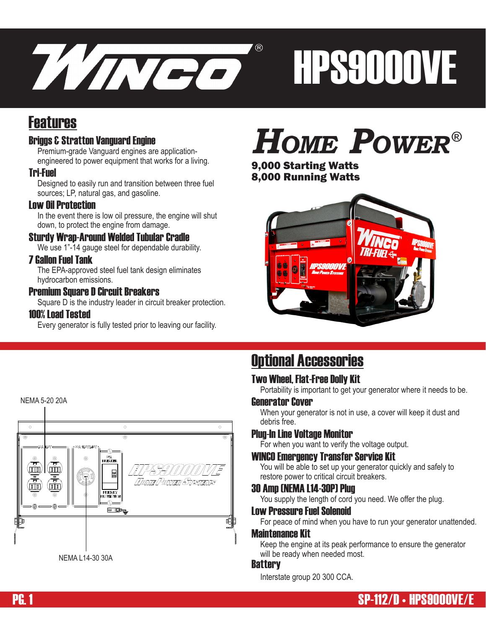

# HPS9000VE

## Features

#### Briggs & Stratton Vanguard Engine

Premium-grade Vanguard engines are applicationengineered to power equipment that works for a living.

#### Tri-Fuel

Designed to easily run and transition between three fuel sources; LP, natural gas, and gasoline.

#### Low Oil Protection

In the event there is low oil pressure, the engine will shut down, to protect the engine from damage.

#### Sturdy Wrap-Around Welded Tubular Cradle

We use 1"-14 gauge steel for dependable durability.

#### 7 Gallon Fuel Tank

The EPA-approved steel fuel tank design eliminates hydrocarbon emissions.

#### Premium Square D Circuit Breakers

Square D is the industry leader in circuit breaker protection.

#### 100% Load Tested

Every generator is fully tested prior to leaving our facility.

## **HOME POWER®**

9,000 Starting Watts 8,000 Running Watts





## Optional Accessories

#### Two Wheel, Flat-Free Dolly Kit

Portability is important to get your generator where it needs to be.

#### Generator Cover

When your generator is not in use, a cover will keep it dust and debris free.

#### Plug-In Line Voltage Monitor

For when you want to verify the voltage output.

#### WINCO Emergency Transfer Service Kit

You will be able to set up your generator quickly and safely to restore power to critical circuit breakers.

#### 30 Amp (NEMA L14-30P) Plug

You supply the length of cord you need. We offer the plug.

#### Low Pressure Fuel Solenoid

For peace of mind when you have to run your generator unattended.

#### Maintenance Kit

Keep the engine at its peak performance to ensure the generator will be ready when needed most.

#### **Battery**

Interstate group 20 300 CCA.